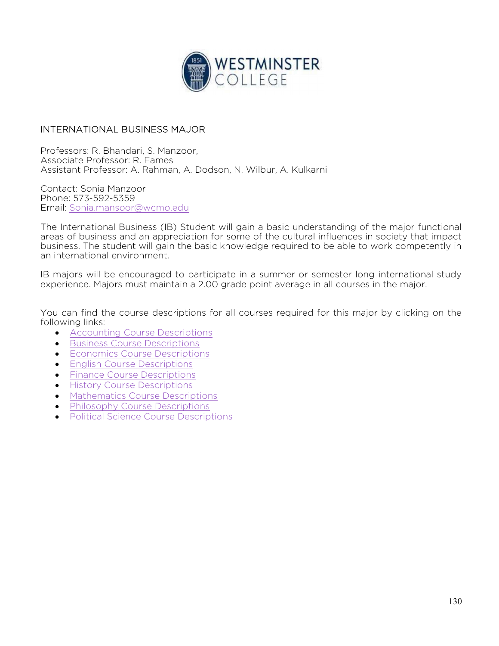

## INTERNATIONAL BUSINESS MAJOR

Professors: R. Bhandari, S. Manzoor, Associate Professor: R. Eames Assistant Professor: A. Rahman, A. Dodson, N. Wilbur, A. Kulkarni

Contact: Sonia Manzoor Phone: 573-592-5359 Email: Sonia.mansoor@wcmo.edu

The International Business (IB) Student will gain a basic understanding of the major functional areas of business and an appreciation for some of the cultural influences in society that impact business. The student will gain the basic knowledge required to be able to work competently in an international environment.

IB majors will be encouraged to participate in a summer or semester long international study experience. Majors must maintain a 2.00 grade point average in all courses in the major.

You can find the course descriptions for all courses required for this major by clicking on the following links:

- **•** Accounting Course Descriptions
- **Business Course Descriptions**
- **Economics Course Descriptions**
- **English Course Descriptions**
- **•** Finance Course Descriptions
- **•** History Course Descriptions
- Mathematics Course Descriptions
- Philosophy Course Descriptions
- Political Science Course Descriptions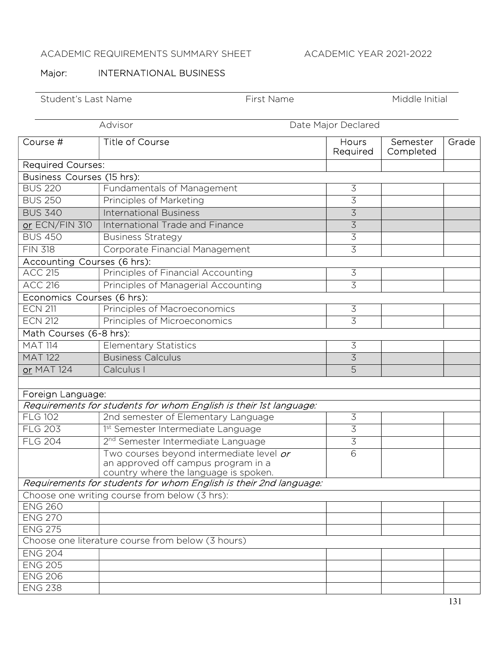## ACADEMIC REQUIREMENTS SUMMARY SHEET ACADEMIC YEAR 2021-2022

## Major: **INTERNATIONAL BUSINESS**

Student's Last Name First Name First Name Middle Initial

|                             | Advisor<br>Date Major Declared                                                                                           |                   |                       |       |  |  |  |
|-----------------------------|--------------------------------------------------------------------------------------------------------------------------|-------------------|-----------------------|-------|--|--|--|
| Course #                    | <b>Title of Course</b>                                                                                                   | Hours<br>Required | Semester<br>Completed | Grade |  |  |  |
| <b>Required Courses:</b>    |                                                                                                                          |                   |                       |       |  |  |  |
| Business Courses (15 hrs):  |                                                                                                                          |                   |                       |       |  |  |  |
| <b>BUS 220</b>              | Fundamentals of Management                                                                                               | $\overline{3}$    |                       |       |  |  |  |
| <b>BUS 250</b>              | Principles of Marketing                                                                                                  | 3                 |                       |       |  |  |  |
| <b>BUS 340</b>              | <b>International Business</b>                                                                                            | 3                 |                       |       |  |  |  |
| or ECN/FIN 310              | International Trade and Finance                                                                                          | $\overline{3}$    |                       |       |  |  |  |
| <b>BUS 450</b>              | <b>Business Strategy</b>                                                                                                 | $\overline{3}$    |                       |       |  |  |  |
| <b>FIN 318</b>              | Corporate Financial Management                                                                                           | $\overline{3}$    |                       |       |  |  |  |
| Accounting Courses (6 hrs): |                                                                                                                          |                   |                       |       |  |  |  |
| <b>ACC 215</b>              | Principles of Financial Accounting                                                                                       | $\overline{3}$    |                       |       |  |  |  |
| <b>ACC 216</b>              | Principles of Managerial Accounting                                                                                      | 3                 |                       |       |  |  |  |
| Economics Courses (6 hrs):  |                                                                                                                          |                   |                       |       |  |  |  |
| <b>ECN 211</b>              | Principles of Macroeconomics                                                                                             | $\overline{3}$    |                       |       |  |  |  |
| <b>ECN 212</b>              | Principles of Microeconomics                                                                                             | $\overline{3}$    |                       |       |  |  |  |
| Math Courses (6-8 hrs):     |                                                                                                                          |                   |                       |       |  |  |  |
| <b>MAT 114</b>              | <b>Elementary Statistics</b>                                                                                             | $\mathfrak{Z}$    |                       |       |  |  |  |
| <b>MAT 122</b>              | <b>Business Calculus</b>                                                                                                 | $\overline{3}$    |                       |       |  |  |  |
| or MAT 124                  | Calculus I                                                                                                               | 5                 |                       |       |  |  |  |
|                             |                                                                                                                          |                   |                       |       |  |  |  |
| Foreign Language:           |                                                                                                                          |                   |                       |       |  |  |  |
|                             | Requirements for students for whom English is their 1st language:                                                        |                   |                       |       |  |  |  |
| <b>FLG 102</b>              | 2nd semester of Elementary Language                                                                                      | 3                 |                       |       |  |  |  |
| <b>FLG 203</b>              | 1st Semester Intermediate Language                                                                                       | 3                 |                       |       |  |  |  |
| <b>FLG 204</b>              | 2 <sup>nd</sup> Semester Intermediate Language                                                                           | 3                 |                       |       |  |  |  |
|                             | Two courses beyond intermediate level or<br>an approved off campus program in a<br>country where the language is spoken. | 6                 |                       |       |  |  |  |
|                             | Requirements for students for whom English is their 2nd language:                                                        |                   |                       |       |  |  |  |
|                             | Choose one writing course from below (3 hrs):                                                                            |                   |                       |       |  |  |  |
| <b>ENG 260</b>              |                                                                                                                          |                   |                       |       |  |  |  |
| <b>ENG 270</b>              |                                                                                                                          |                   |                       |       |  |  |  |
| <b>ENG 275</b>              |                                                                                                                          |                   |                       |       |  |  |  |
|                             | Choose one literature course from below (3 hours)                                                                        |                   |                       |       |  |  |  |
| <b>ENG 204</b>              |                                                                                                                          |                   |                       |       |  |  |  |
| <b>ENG 205</b>              |                                                                                                                          |                   |                       |       |  |  |  |
| <b>ENG 206</b>              |                                                                                                                          |                   |                       |       |  |  |  |
| <b>ENG 238</b>              |                                                                                                                          |                   |                       |       |  |  |  |